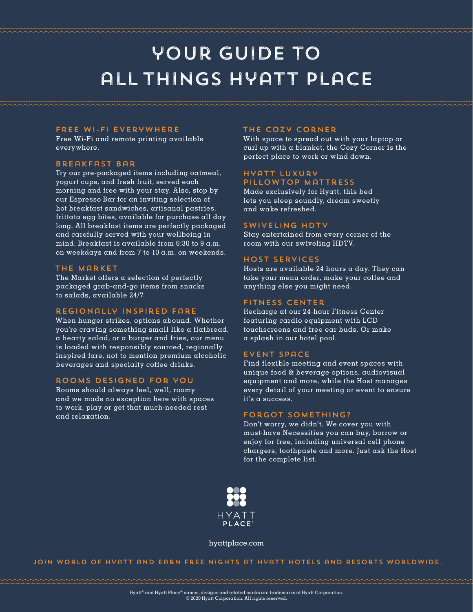# your guide to all things hyatt place

#### free wi-fi everywhere

Free Wi-Fi and remote printing available everywhere.

#### breakfast bar

Try our pre-packaged items including oatmeal, yogurt cups, and fresh fruit, served each morning and free with your stay. Also, stop by our Espresso Bar for an inviting selection of hot breakfast sandwiches, artisanal pastries, frittata egg bites, available for purchase all day long. All breakfast items are perfectly packaged and carefully served with your wellbeing in mind. Breakfast is available from 6:30 to 9 a.m. on weekdays and from 7 to 10 a.m. on weekends.

#### the market

The Market offers a selection of perfectly packaged grab-and-go items from snacks to salads, available 24/7.

#### regionally inspired fare

When hunger strikes, options abound. Whether you're craving something small like a flatbread, a hearty salad, or a burger and fries, our menu is loaded with responsibly sourced, regionally inspired fare, not to mention premium alcoholic beverages and specialty coffee drinks.

#### rooms designed for you

Rooms should always feel, well, roomy and we made no exception here with spaces to work, play or get that much-needed rest and relaxation.

#### the cozy corner

With space to spread out with your laptop or curl up with a blanket, the Cozy Corner is the perfect place to work or wind down.

#### hyatt luxury pillowtop mattress

Made exclusively for Hyatt, this bed lets you sleep soundly, dream sweetly and wake refreshed.

#### swiveling hdtv

Stay entertained from every corner of the room with our swiveling HDTV.

#### host services

Hosts are available 24 hours a day. They can take your menu order, make your coffee and anything else you might need.

#### fitness center

Recharge at our 24-hour Fitness Center featuring cardio equipment with LCD touchscreens and free ear buds. Or make a splash in our hotel pool.

#### event space

Find flexible meeting and event spaces with unique food & beverage options, audiovisual equipment and more, while the Host manages every detail of your meeting or event to ensure it's a success.

#### forgot something?

Don't worry, we didn't. We cover you with must-have Necessities you can buy, borrow or enjoy for free, including universal cell phone chargers, toothpaste and more. Just ask the Host for the complete list.



#### hyattplace.com

join world of hyatt and earn free nights at hyatt hotels and resorts worldwide.